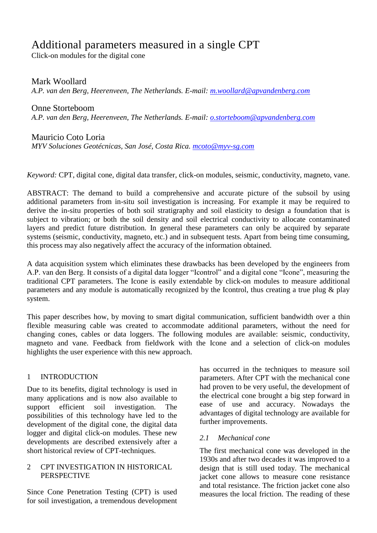# Additional parameters measured in a single CPT

Click-on modules for the digital cone

Mark Woollard

*A.P. van den Berg, Heerenveen, The Netherlands. E-mail: [m.woollard@apvandenberg.com](mailto:m.woollard@apvandenberg.com)*

Onne Storteboom *A.P. van den Berg, Heerenveen, The Netherlands. E-mail: [o.storteboom@apvandenberg.com](mailto:o.storteboom@apvandenberg.com)*

# Mauricio Coto Loria

*MYV Soluciones Geotécnicas, San José, Costa Rica. [mcoto@myv-sg.com](mailto:mcoto@myv-sg.com)*

*Keyword:* CPT, digital cone, digital data transfer, click-on modules, seismic, conductivity, magneto, vane.

ABSTRACT: The demand to build a comprehensive and accurate picture of the subsoil by using additional parameters from in-situ soil investigation is increasing. For example it may be required to derive the in-situ properties of both soil stratigraphy and soil elasticity to design a foundation that is subject to vibration; or both the soil density and soil electrical conductivity to allocate contaminated layers and predict future distribution. In general these parameters can only be acquired by separate systems (seismic, conductivity, magneto, etc.) and in subsequent tests. Apart from being time consuming, this process may also negatively affect the accuracy of the information obtained.

A data acquisition system which eliminates these drawbacks has been developed by the engineers from A.P. van den Berg. It consists of a digital data logger "Icontrol" and a digital cone "Icone", measuring the traditional CPT parameters. The Icone is easily extendable by click-on modules to measure additional parameters and any module is automatically recognized by the Icontrol, thus creating a true plug & play system.

This paper describes how, by moving to smart digital communication, sufficient bandwidth over a thin flexible measuring cable was created to accommodate additional parameters, without the need for changing cones, cables or data loggers. The following modules are available: seismic, conductivity, magneto and vane. Feedback from fieldwork with the Icone and a selection of click-on modules highlights the user experience with this new approach.

# 1 INTRODUCTION

Due to its benefits, digital technology is used in many applications and is now also available to support efficient soil investigation. The possibilities of this technology have led to the development of the digital cone, the digital data logger and digital click-on modules. These new developments are described extensively after a short historical review of CPT-techniques.

## 2 CPT INVESTIGATION IN HISTORICAL **PERSPECTIVE**

Since Cone Penetration Testing (CPT) is used for soil investigation, a tremendous development

has occurred in the techniques to measure soil parameters. After CPT with the mechanical cone had proven to be very useful, the development of the electrical cone brought a big step forward in ease of use and accuracy. Nowadays the advantages of digital technology are available for further improvements.

# *2.1 Mechanical cone*

The first mechanical cone was developed in the 1930s and after two decades it was improved to a design that is still used today. The mechanical jacket cone allows to measure cone resistance and total resistance. The friction jacket cone also measures the local friction. The reading of these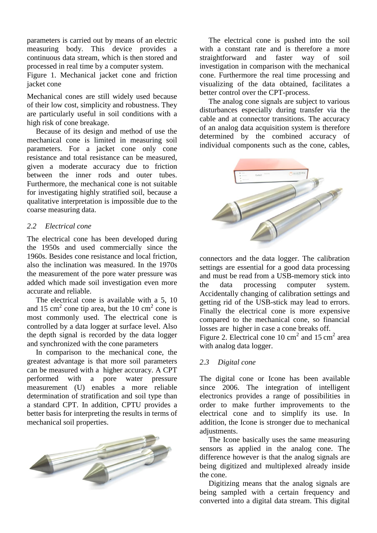parameters is carried out by means of an electric measuring body. This device provides a continuous data stream, which is then stored and processed in real time by a computer system.

Figure 1. Mechanical jacket cone and friction jacket cone

Mechanical cones are still widely used because of their low cost, simplicity and robustness. They are particularly useful in soil conditions with a high risk of cone breakage.

Because of its design and method of use the mechanical cone is limited in measuring soil parameters. For a jacket cone only cone resistance and total resistance can be measured, given a moderate accuracy due to friction between the inner rods and outer tubes. Furthermore, the mechanical cone is not suitable for investigating highly stratified soil, because a qualitative interpretation is impossible due to the coarse measuring data.

#### *2.2 Electrical cone*

The electrical cone has been developed during the 1950s and used commercially since the 1960s. Besides cone resistance and local friction, also the inclination was measured. In the 1970s the measurement of the pore water pressure was added which made soil investigation even more accurate and reliable.

The electrical cone is available with a 5, 10 and 15 cm<sup>2</sup> cone tip area, but the 10 cm<sup>2</sup> cone is most commonly used. The electrical cone is controlled by a data logger at surface level. Also the depth signal is recorded by the data logger and synchronized with the cone parameters

In comparison to the mechanical cone, the greatest advantage is that more soil parameters can be measured with a higher accuracy. A CPT performed with a pore water pressure measurement (U) enables a more reliable determination of stratification and soil type than a standard CPT. In addition, CPTU provides a better basis for interpreting the results in terms of mechanical soil properties.



The electrical cone is pushed into the soil with a constant rate and is therefore a more straightforward and faster way of soil investigation in comparison with the mechanical cone. Furthermore the real time processing and visualizing of the data obtained, facilitates a better control over the CPT-process.

The analog cone signals are subject to various disturbances especially during transfer via the cable and at connector transitions. The accuracy of an analog data acquisition system is therefore determined by the combined accuracy of individual components such as the cone, cables,



connectors and the data logger. The calibration settings are essential for a good data processing and must be read from a USB-memory stick into the data processing computer system. Accidentally changing of calibration settings and getting rid of the USB-stick may lead to errors. Finally the electrical cone is more expensive compared to the mechanical cone, so financial losses are higher in case a cone breaks off.

Figure 2. Electrical cone 10 cm<sup>2</sup> and 15 cm<sup>2</sup> area with analog data logger.

#### *2.3 Digital cone*

The digital cone or Icone has been available since 2006. The integration of intelligent electronics provides a range of possibilities in order to make further improvements to the electrical cone and to simplify its use. In addition, the Icone is stronger due to mechanical adjustments.

The Icone basically uses the same measuring sensors as applied in the analog cone. The difference however is that the analog signals are being digitized and multiplexed already inside the cone.

Digitizing means that the analog signals are being sampled with a certain frequency and converted into a digital data stream. This digital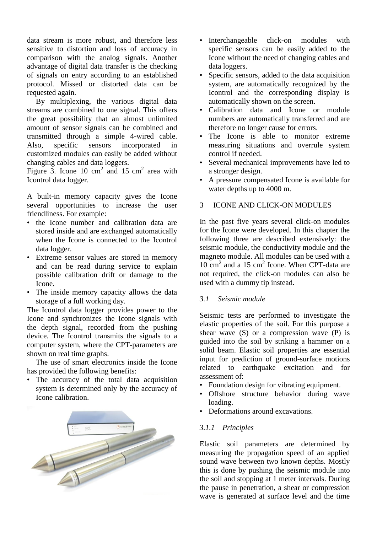data stream is more robust, and therefore less sensitive to distortion and loss of accuracy in comparison with the analog signals. Another advantage of digital data transfer is the checking of signals on entry according to an established protocol. Missed or distorted data can be requested again.

By multiplexing, the various digital data streams are combined to one signal. This offers the great possibility that an almost unlimited amount of sensor signals can be combined and transmitted through a simple 4-wired cable. Also, specific sensors incorporated in customized modules can easily be added without changing cables and data loggers.

Figure 3. Icone 10 cm<sup>2</sup> and 15 cm<sup>2</sup> area with Icontrol data logger.

A built-in memory capacity gives the Icone several opportunities to increase the user friendliness. For example:

- the Icone number and calibration data are stored inside and are exchanged automatically when the Icone is connected to the Icontrol data logger.
- Extreme sensor values are stored in memory and can be read during service to explain possible calibration drift or damage to the Icone.
- The inside memory capacity allows the data storage of a full working day.

The Icontrol data logger provides power to the Icone and synchronizes the Icone signals with the depth signal, recorded from the pushing device. The Icontrol transmits the signals to a computer system, where the CPT-parameters are shown on real time graphs.

The use of smart electronics inside the Icone has provided the following benefits:

• The accuracy of the total data acquisition system is determined only by the accuracy of Icone calibration.



- Interchangeable click-on modules with specific sensors can be easily added to the Icone without the need of changing cables and data loggers.
- Specific sensors, added to the data acquisition system, are automatically recognized by the Icontrol and the corresponding display is automatically shown on the screen.
- Calibration data and Icone or module numbers are automatically transferred and are therefore no longer cause for errors.
- The Icone is able to monitor extreme measuring situations and overrule system control if needed.
- Several mechanical improvements have led to a stronger design.
- A pressure compensated Icone is available for water depths up to 4000 m.

# 3 ICONE AND CLICK-ON MODULES

In the past five years several click-on modules for the Icone were developed. In this chapter the following three are described extensively: the seismic module, the conductivity module and the magneto module. All modules can be used with a 10 cm<sup>2</sup> and a 15 cm<sup>2</sup> Icone. When CPT-data are not required, the click-on modules can also be used with a dummy tip instead.

## *3.1 Seismic module*

Seismic tests are performed to investigate the elastic properties of the soil. For this purpose a shear wave  $(S)$  or a compression wave  $(P)$  is guided into the soil by striking a hammer on a solid beam. Elastic soil properties are essential input for prediction of ground-surface motions related to earthquake excitation and for assessment of:

- Foundation design for vibrating equipment.
- Offshore structure behavior during wave loading.
- Deformations around excavations.

## *3.1.1 Principles*

Elastic soil parameters are determined by measuring the propagation speed of an applied sound wave between two known depths. Mostly this is done by pushing the seismic module into the soil and stopping at 1 meter intervals. During the pause in penetration, a shear or compression wave is generated at surface level and the time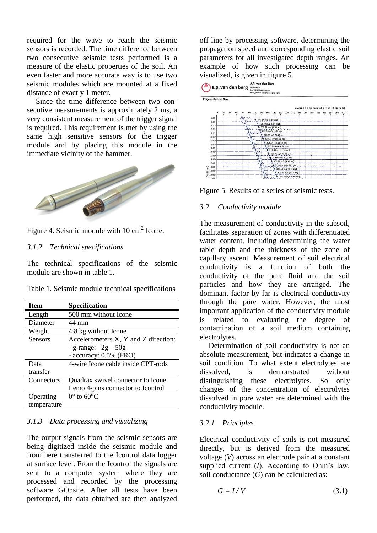required for the wave to reach the seismic sensors is recorded. The time difference between two consecutive seismic tests performed is a measure of the elastic properties of the soil. An even faster and more accurate way is to use two seismic modules which are mounted at a fixed distance of exactly 1 meter.

Since the time difference between two consecutive measurements is approximately 2 ms, a very consistent measurement of the trigger signal is required. This requirement is met by using the same high sensitive sensors for the trigger module and by placing this module in the immediate vicinity of the hammer.



Figure 4. Seismic module with  $10 \text{ cm}^2$  Icone.

#### *3.1.2 Technical specifications*

The technical specifications of the seismic module are shown in table 1.

|  |  |  |  | Table 1. Seismic module technical specifications |
|--|--|--|--|--------------------------------------------------|
|--|--|--|--|--------------------------------------------------|

| <b>Item</b>    | <b>Specification</b>                 |
|----------------|--------------------------------------|
| Length         | 500 mm without Icone                 |
| Diameter       | 44 mm                                |
| Weight         | 4.8 kg without Icone                 |
| <b>Sensors</b> | Accelerometers X, Y and Z direction: |
|                | - g-range: $2g-50g$                  |
|                | - accuracy: 0.5% (FRO)               |
| Data           | 4-wire Icone cable inside CPT-rods   |
| transfer       |                                      |
| Connectors     | Quadrax swivel connector to Icone    |
|                | Lemo 4-pins connector to Icontrol    |
| Operating      | $0^{\circ}$ to $60^{\circ}$ C        |
| temperature    |                                      |

#### *3.1.3 Data processing and visualizing*

The output signals from the seismic sensors are being digitized inside the seismic module and from here transferred to the Icontrol data logger at surface level. From the Icontrol the signals are sent to a computer system where they are processed and recorded by the processing software GOnsite. After all tests have been performed, the data obtained are then analyzed off line by processing software, determining the propagation speed and corresponding elastic soil parameters for all investigated depth ranges. An example of how such processing can be visualized, is given in figure 5.





Figure 5. Results of a series of seismic tests.

#### *3.2 Conductivity module*

The measurement of conductivity in the subsoil, facilitates separation of zones with differentiated water content, including determining the water table depth and the thickness of the zone of capillary ascent. Measurement of soil electrical conductivity is a function of both the conductivity of the pore fluid and the soil particles and how they are arranged. The dominant factor by far is electrical conductivity through the pore water. However, the most important application of the conductivity module is related to evaluating the degree of contamination of a soil medium containing electrolytes.

Determination of soil conductivity is not an absolute measurement, but indicates a change in soil condition. To what extent electrolytes are dissolved is demonstrated without distinguishing these electrolytes. So only changes of the concentration of electrolytes dissolved in pore water are determined with the conductivity module.

#### *3.2.1 Principles*

Electrical conductivity of soils is not measured directly, but is derived from the measured voltage (*V*) across an electrode pair at a constant supplied current (*I*). According to Ohm's law, soil conductance (*G*) can be calculated as:

$$
G = I/V \tag{3.1}
$$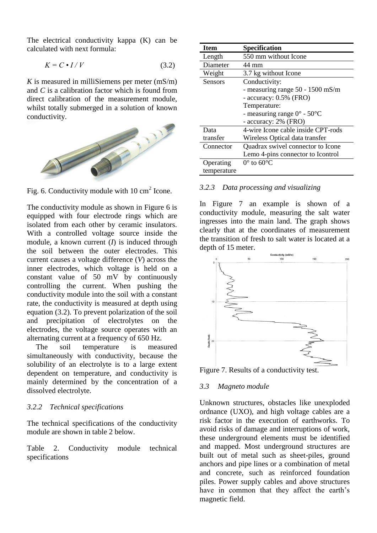The electrical conductivity kappa (K) can be calculated with next formula:

$$
K = C \bullet I / V \tag{3.2}
$$

 *is measured in milliSiemens per meter*  $(mS/m)$ and *C* is a calibration factor which is found from direct calibration of the measurement module, whilst totally submerged in a solution of known conductivity.



Fig. 6. Conductivity module with  $10 \text{ cm}^2$  Icone.

The conductivity module as shown in Figure 6 is equipped with four electrode rings which are isolated from each other by ceramic insulators. With a controlled voltage source inside the module, a known current (*I*) is induced through the soil between the outer electrodes. This current causes a voltage difference (*V*) across the inner electrodes, which voltage is held on a constant value of 50 mV by continuously controlling the current. When pushing the conductivity module into the soil with a constant rate, the conductivity is measured at depth using equation (3.2). To prevent polarization of the soil and precipitation of electrolytes on the electrodes, the voltage source operates with an alternating current at a frequency of 650 Hz.

The soil temperature is measured simultaneously with conductivity, because the solubility of an electrolyte is to a large extent dependent on temperature, and conductivity is mainly determined by the concentration of a dissolved electrolyte.

#### *3.2.2 Technical specifications*

The technical specifications of the conductivity module are shown in table 2 below.

Table 2. Conductivity module technical specifications

| <b>Item</b>    | <b>Specification</b>                            |
|----------------|-------------------------------------------------|
| Length         | 550 mm without Icone                            |
| Diameter       | 44 mm                                           |
| Weight         | 3.7 kg without Icone                            |
| <b>Sensors</b> | Conductivity:                                   |
|                | - measuring range $50 - 1500$ mS/m              |
|                | - accuracy: 0.5% (FRO)                          |
|                | Temperature:                                    |
|                | - measuring range $0^{\circ}$ - 50 $^{\circ}$ C |
|                | - accuracy: 2% (FRO)                            |
| Data           | 4-wire Icone cable inside CPT-rods              |
| transfer       | Wireless Optical data transfer                  |
| Connector      | Quadrax swivel connector to Icone               |
|                | Lemo 4-pins connector to Icontrol               |
| Operating      | $0^{\circ}$ to $60^{\circ}$ C                   |
| temperature    |                                                 |

#### *3.2.3 Data processing and visualizing*

In Figure 7 an example is shown of a conductivity module, measuring the salt water ingresses into the main land. The graph shows clearly that at the coordinates of measurement the transition of fresh to salt water is located at a depth of 15 meter.



Figure 7. Results of a conductivity test.

#### *3.3 Magneto module*

Unknown structures, obstacles like unexploded ordnance (UXO), and high voltage cables are a risk factor in the execution of earthworks. To avoid risks of damage and interruptions of work, these underground elements must be identified and mapped. Most underground structures are built out of metal such as sheet-piles, ground anchors and pipe lines or a combination of metal and concrete, such as reinforced foundation piles. Power supply cables and above structures have in common that they affect the earth's magnetic field.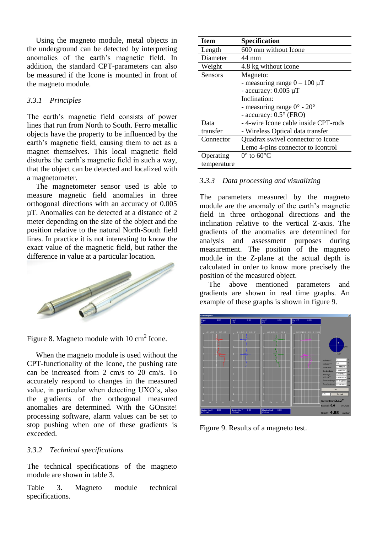Using the magneto module, metal objects in the underground can be detected by interpreting anomalies of the earth's magnetic field. In addition, the standard CPT-parameters can also be measured if the Icone is mounted in front of the magneto module.

## *3.3.1 Principles*

The earth's magnetic field consists of power lines that run from North to South. Ferro metallic objects have the property to be influenced by the earth's magnetic field, causing them to act as a magnet themselves. This local magnetic field disturbs the earth's magnetic field in such a way, that the object can be detected and localized with a magnetometer.

The magnetometer sensor used is able to measure magnetic field anomalies in three orthogonal directions with an accuracy of 0.005 µT. Anomalies can be detected at a distance of 2 meter depending on the size of the object and the position relative to the natural North-South field lines. In practice it is not interesting to know the exact value of the magnetic field, but rather the difference in value at a particular location.



Figure 8. Magneto module with  $10 \text{ cm}^2$  Icone.

When the magneto module is used without the CPT-functionality of the Icone, the pushing rate can be increased from 2 cm/s to 20 cm/s. To accurately respond to changes in the measured value, in particular when detecting UXO's, also the gradients of the orthogonal measured anomalies are determined. With the GOnsite! processing software, alarm values can be set to stop pushing when one of these gradients is exceeded.

## *3.3.2 Technical specifications*

The technical specifications of the magneto module are shown in table 3.

Table 3. Magneto module technical specifications.

| <b>Item</b> | <b>Specification</b>                         |
|-------------|----------------------------------------------|
| Length      | 600 mm without Icone                         |
| Diameter    | 44 mm                                        |
| Weight      | 4.8 kg without Icone                         |
| Sensors     | Magneto:                                     |
|             | - measuring range $0 - 100 \mu T$            |
|             | - accuracy: $0.005 \mu T$                    |
|             | Inclination:                                 |
|             | - measuring range $0^{\circ}$ - $20^{\circ}$ |
|             | - accuracy: $0.5^{\circ}$ (FRO)              |
| Data        | -4-wire Icone cable inside CPT-rods          |
| transfer    | - Wireless Optical data transfer             |
| Connector   | Quadrax swivel connector to Icone            |
|             | Lemo 4-pins connector to Icontrol            |
| Operating   | $0^{\circ}$ to 60 $^{\circ}$ C               |
| temperature |                                              |

# *3.3.3 Data processing and visualizing*

The parameters measured by the magneto module are the anomaly of the earth's magnetic field in three orthogonal directions and the inclination relative to the vertical Z-axis. The gradients of the anomalies are determined for analysis and assessment purposes during measurement. The position of the magneto module in the Z-plane at the actual depth is calculated in order to know more precisely the position of the measured object.

The above mentioned parameters and gradients are shown in real time graphs. An example of these graphs is shown in figure 9.



Figure 9. Results of a magneto test.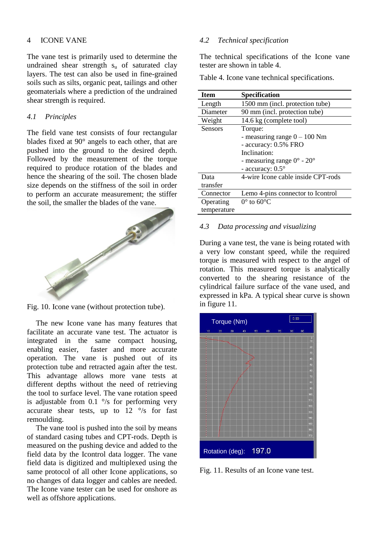#### 4 ICONE VANE

The vane test is primarily used to determine the undrained shear strength  $s_u$  of saturated clay layers. The test can also be used in fine-grained soils such as silts, organic peat, tailings and other geomaterials where a prediction of the undrained shear strength is required.

## *4.1 Principles*

The field vane test consists of four rectangular blades fixed at 90° angels to each other, that are pushed into the ground to the desired depth. Followed by the measurement of the torque required to produce rotation of the blades and hence the shearing of the soil. The chosen blade size depends on the stiffness of the soil in order to perform an accurate measurement; the stiffer the soil, the smaller the blades of the vane.



Fig. 10. Icone vane (without protection tube).

The new Icone vane has many features that facilitate an accurate vane test. The actuator is integrated in the same compact housing, enabling easier, faster and more accurate operation. The vane is pushed out of its protection tube and retracted again after the test. This advantage allows more vane tests at different depths without the need of retrieving the tool to surface level. The vane rotation speed is adjustable from 0.1  $\degree$ /s for performing very accurate shear tests, up to  $12 \degree$ /s for fast remoulding.

The vane tool is pushed into the soil by means of standard casing tubes and CPT-rods. Depth is measured on the pushing device and added to the field data by the Icontrol data logger. The vane field data is digitized and multiplexed using the same protocol of all other Icone applications, so no changes of data logger and cables are needed. The Icone vane tester can be used for onshore as well as offshore applications.

## *4.2 Technical specification*

The technical specifications of the Icone vane tester are shown in table 4.

Table 4. Icone vane technical specifications.

| <b>Item</b>    | <b>Specification</b>                         |
|----------------|----------------------------------------------|
| Length         | 1500 mm (incl. protection tube)              |
| Diameter       | 90 mm (incl. protection tube)                |
| Weight         | 14.6 kg (complete tool)                      |
| <b>Sensors</b> | Torque:                                      |
|                | - measuring range $0 - 100$ Nm               |
|                | - accuracy: 0.5% FRO                         |
|                | Inclination:                                 |
|                | - measuring range $0^{\circ}$ - $20^{\circ}$ |
|                | - accuracy: $0.5^\circ$                      |
| Data           | 4-wire Icone cable inside CPT-rods           |
| transfer       |                                              |
| Connector      | Lemo 4-pins connector to Icontrol            |
| Operating      | $0^{\circ}$ to 60 $^{\circ}$ C               |
| temperature    |                                              |

## *4.3 Data processing and visualizing*

During a vane test, the vane is being rotated with a very low constant speed, while the required torque is measured with respect to the angel of rotation. This measured torque is analytically converted to the shearing resistance of the cylindrical failure surface of the vane used, and expressed in kPa. A typical shear curve is shown in figure 11.



Fig. 11. Results of an Icone vane test.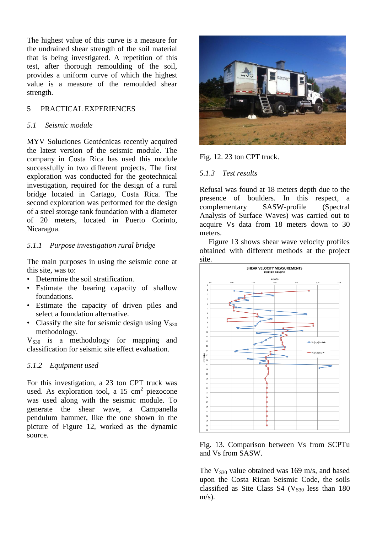The highest value of this curve is a measure for the undrained shear strength of the soil material that is being investigated. A repetition of this test, after thorough remoulding of the soil, provides a uniform curve of which the highest value is a measure of the remoulded shear strength.

## 5 PRACTICAL EXPERIENCES

#### *5.1 Seismic module*

MYV Soluciones Geotécnicas recently acquired the latest version of the seismic module. The company in Costa Rica has used this module successfully in two different projects. The first exploration was conducted for the geotechnical investigation, required for the design of a rural bridge located in Cartago, Costa Rica. The second exploration was performed for the design of a steel storage tank foundation with a diameter of 20 meters, located in Puerto Corinto, Nicaragua.

## *5.1.1 Purpose investigation rural bridge*

The main purposes in using the seismic cone at this site, was to:

- Determine the soil stratification.
- Estimate the bearing capacity of shallow foundations.
- Estimate the capacity of driven piles and select a foundation alternative.
- Classify the site for seismic design using  $V<sub>S30</sub>$ methodology.

 $V<sub>S30</sub>$  is a methodology for mapping and classification for seismic site effect evaluation.

#### *5.1.2 Equipment used*

For this investigation, a 23 ton CPT truck was used. As exploration tool, a 15  $\text{cm}^2$  piezocone was used along with the seismic module. To generate the shear wave, a Campanella pendulum hammer, like the one shown in the picture of Figure 12, worked as the dynamic source.



Fig. 12. 23 ton CPT truck.

## *5.1.3 Test results*

Refusal was found at 18 meters depth due to the presence of boulders. In this respect, a complementary SASW-profile (Spectral Analysis of Surface Waves) was carried out to acquire Vs data from 18 meters down to 30 meters.

Figure 13 shows shear wave velocity profiles obtained with different methods at the project site.



Fig. 13. Comparison between Vs from SCPTu and Vs from SASW.

The  $V_{s30}$  value obtained was 169 m/s, and based upon the Costa Rican Seismic Code, the soils classified as Site Class S4 ( $V<sub>S30</sub>$  less than 180  $m/s$ ).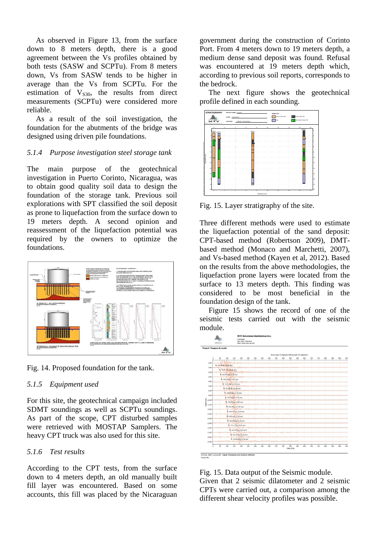As observed in Figure 13, from the surface down to 8 meters depth, there is a good agreement between the Vs profiles obtained by both tests (SASW and SCPTu). From 8 meters down, Vs from SASW tends to be higher in average than the Vs from SCPTu. For the estimation of  $V<sub>S30</sub>$ , the results from direct measurements (SCPTu) were considered more reliable.

As a result of the soil investigation, the foundation for the abutments of the bridge was designed using driven pile foundations.

## *5.1.4 Purpose investigation steel storage tank*

The main purpose of the geotechnical investigation in Puerto Corinto, Nicaragua, was to obtain good quality soil data to design the foundation of the storage tank. Previous soil explorations with SPT classified the soil deposit as prone to liquefaction from the surface down to 19 meters depth. A second opinion and reassessment of the liquefaction potential was required by the owners to optimize the foundations.



Fig. 14. Proposed foundation for the tank.

## *5.1.5 Equipment used*

For this site, the geotechnical campaign included SDMT soundings as well as SCPTu soundings. As part of the scope, CPT disturbed samples were retrieved with MOSTAP Samplers. The heavy CPT truck was also used for this site.

## *5.1.6 Test results*

According to the CPT tests, from the surface down to 4 meters depth, an old manually built fill layer was encountered. Based on some accounts, this fill was placed by the Nicaraguan government during the construction of Corinto Port. From 4 meters down to 19 meters depth, a medium dense sand deposit was found. Refusal was encountered at 19 meters depth which, according to previous soil reports, corresponds to the bedrock.

The next figure shows the geotechnical profile defined in each sounding.



Fig. 15. Layer stratigraphy of the site.

Three different methods were used to estimate the liquefaction potential of the sand deposit: CPT-based method (Robertson 2009), DMTbased method (Monaco and Marchetti, 2007), and Vs-based method (Kayen et al, 2012). Based on the results from the above methodologies, the liquefaction prone layers were located from the surface to 13 meters depth. This finding was considered to be most beneficial in the foundation design of the tank.

Figure 15 shows the record of one of the seismic tests carried out with the seismic module.



Fig. 15. Data output of the Seismic module. Given that 2 seismic dilatometer and 2 seismic CPTs were carried out, a comparison among the different shear velocity profiles was possible.